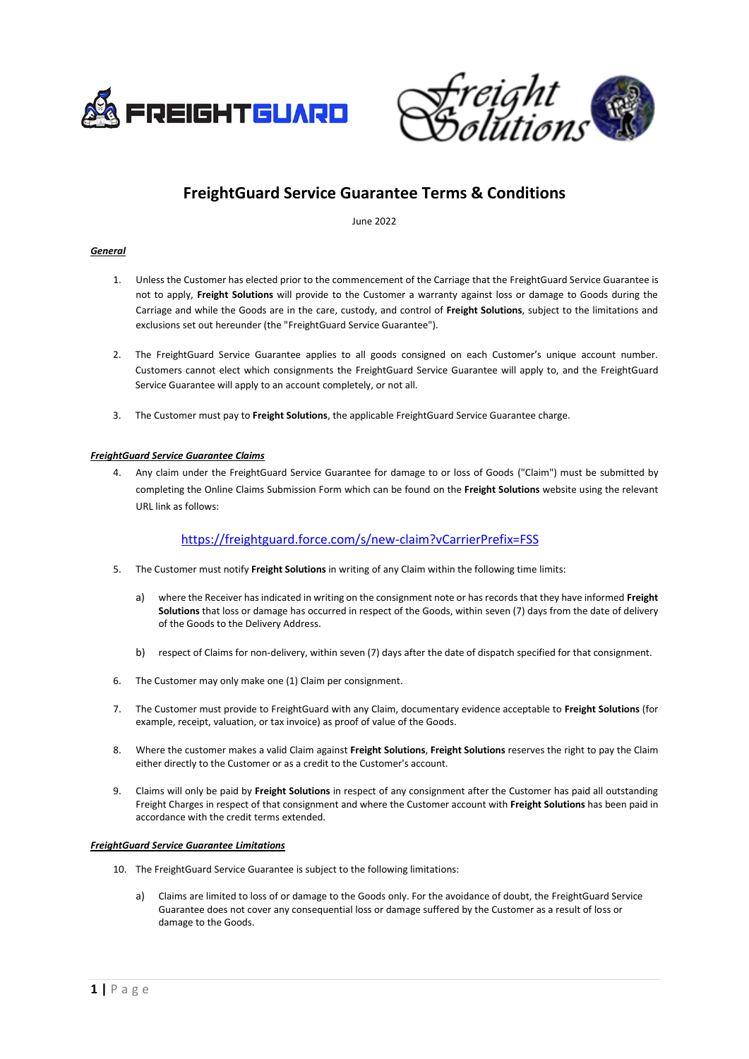



# **FreightGuard Service Guarantee Terms & Conditions**

June 2022

### *General*

- 1. Unless the Customer has elected prior to the commencement of the Carriage that the FreightGuard Service Guarantee is not to apply, **Freight Solutions** will provide to the Customer a warranty against loss or damage to Goods during the Carriage and while the Goods are in the care, custody, and control of **Freight Solutions**, subject to the limitations and exclusions set out hereunder (the "FreightGuard Service Guarantee").
- 2. The FreightGuard Service Guarantee applies to all goods consigned on each Customer's unique account number. Customers cannot elect which consignments the FreightGuard Service Guarantee will apply to, and the FreightGuard Service Guarantee will apply to an account completely, or not all.
- 3. The Customer must pay to **Freight Solutions**, the applicable FreightGuard Service Guarantee charge.

## *FreightGuard Service Guarantee Claims*

4. Any claim under the FreightGuard Service Guarantee for damage to or loss of Goods ("Claim") must be submitted by completing the Online Claims Submission Form which can be found on the **Freight Solutions** website using the relevant URL link as follows:

# <https://freightguard.force.com/s/new-claim?vCarrierPrefix=FSS>

- 5. The Customer must notify **Freight Solutions** in writing of any Claim within the following time limits:
	- a) where the Receiver has indicated in writing on the consignment note or has records that they have informed **Freight Solutions** that loss or damage has occurred in respect of the Goods, within seven (7) days from the date of delivery of the Goods to the Delivery Address.
	- b) respect of Claims for non-delivery, within seven (7) days after the date of dispatch specified for that consignment.
- 6. The Customer may only make one (1) Claim per consignment.
- 7. The Customer must provide to FreightGuard with any Claim, documentary evidence acceptable to **Freight Solutions** (for example, receipt, valuation, or tax invoice) as proof of value of the Goods.
- 8. Where the customer makes a valid Claim against **Freight Solutions**, **Freight Solutions** reserves the right to pay the Claim either directly to the Customer or as a credit to the Customer's account.
- 9. Claims will only be paid by **Freight Solutions** in respect of any consignment after the Customer has paid all outstanding Freight Charges in respect of that consignment and where the Customer account with **Freight Solutions** has been paid in accordance with the credit terms extended.

### *FreightGuard Service Guarantee Limitations*

- 10. The FreightGuard Service Guarantee is subject to the following limitations:
	- a) Claims are limited to loss of or damage to the Goods only. For the avoidance of doubt, the FreightGuard Service Guarantee does not cover any consequential loss or damage suffered by the Customer as a result of loss or damage to the Goods.